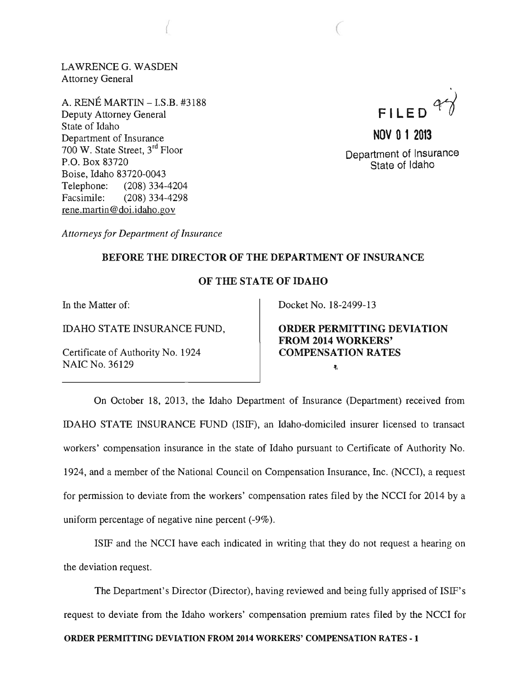LAWRENCEG. WASDEN Attorney General

(

A. RENE MARTIN -I.S.B. #3188 Deputy Attorney General State of Idaho Department of Insurance 700 W. State Street, 3rd Floor P.O. Box 83720 Boise, Idaho 83720-0043 Telephone: (208) 334-4204 Facsimile: (208) 334-4298 rene.martin@doi.idaho.gov

. **FILED** ~

**NOV 0 1 2013**  Department of Insurance State of Idaho

*Attorneys for Department of Insurance* 

## BEFORE THE DIRECTOR OF THE DEPARTMENT OF INSURANCE

## OF THE STATE OF IDAHO

In the Matter of:

IDAHO STATE INSURANCE FUND,

Certificate of Authority No. 1924 NAIC No. 36129

Docket No. 18-2499-13

 $\mathcal{C}$ 

ORDER PERMITTING DEVIATION FROM 2014 WORKERS' COMPENSATION RATES  $\tilde{\mathbf{q}}_i$ 

On October 18, 2013, the Idaho Department of Insurance (Department) received from IDAHO STATE INSURANCE FUND (ISIF), an Idaho-domiciled insurer licensed to transact workers' compensation insurance in the state of Idaho pursuant to Certificate of Authority No. 1924, and a member of the National Council on Compensation Insurance, Inc. (NCCI), a request for permission to deviate from the workers' compensation rates filed by the NCCI for 2014 by a uniform percentage of negative nine percent (-9%).

ISIF and the NCCI have each indicated in writing that they do not request a hearing on the deviation request.

The Department's Director (Director), having reviewed and being fully apprised of ISIF's request to deviate from the Idaho workers' compensation premium rates filed by the NCCI for ORDER PERMITTING DEVIATION FROM 2014 WORKERS' COMPENSATION RATES - 1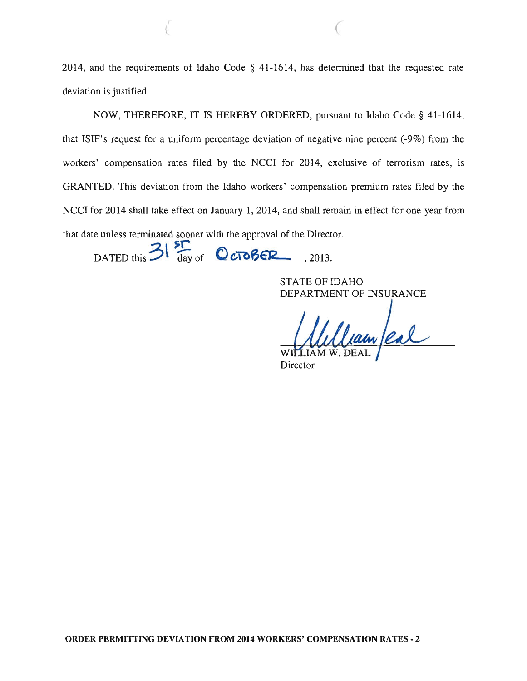2014, and the requirements of Idaho Code § 41-1614, has determined that the requested rate deviation is justified.

NOW, THEREFORE, IT IS HEREBY ORDERED, pursuant to Idaho Code § 41-1614, that ISIF's request for a uniform percentage deviation of negative nine percent (-9%) from the workers' compensation rates filed by the NCCI for 2014, exclusive of terrorism rates, is GRANTED. This deviation from the Idaho workers' compensation premium rates filed by the NCCI for 2014 shall take effect on January 1, 2014, and shall remain in effect for one year from that date unless terminated sooner with the approval of the Director.

DATED this  $\frac{3!}{\log^{5} 6}$  **()** c**TOBER**, 2013.

STATE OF IDAHO DEPARTMENT OF INSURANCE

Jam/eal W

**Director**